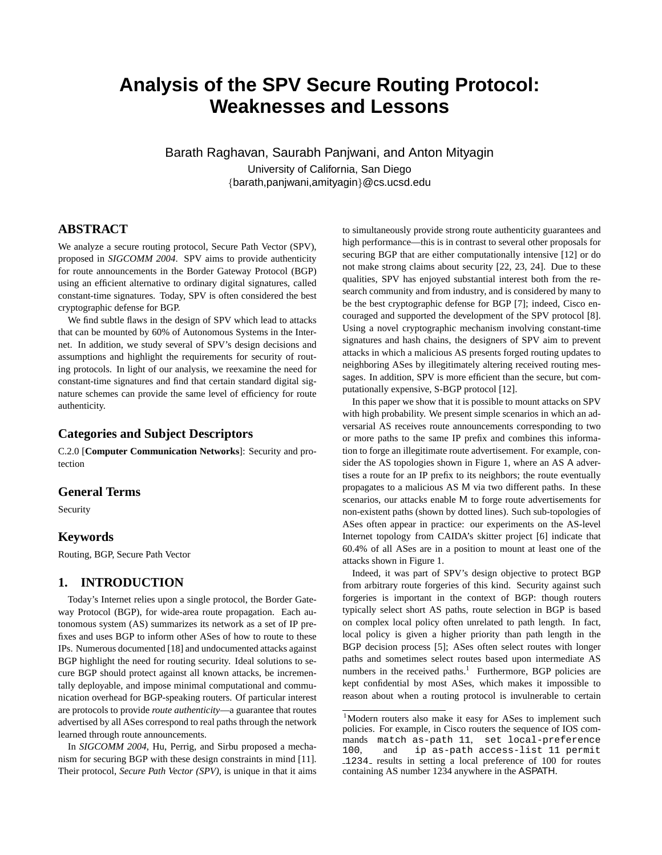# **Analysis of the SPV Secure Routing Protocol: Weaknesses and Lessons**

Barath Raghavan, Saurabh Panjwani, and Anton Mityagin University of California, San Diego {barath,panjwani,amityagin}@cs.ucsd.edu

# **ABSTRACT**

We analyze a secure routing protocol, Secure Path Vector (SPV), proposed in *SIGCOMM 2004*. SPV aims to provide authenticity for route announcements in the Border Gateway Protocol (BGP) using an efficient alternative to ordinary digital signatures, called constant-time signatures. Today, SPV is often considered the best cryptographic defense for BGP.

We find subtle flaws in the design of SPV which lead to attacks that can be mounted by 60% of Autonomous Systems in the Internet. In addition, we study several of SPV's design decisions and assumptions and highlight the requirements for security of routing protocols. In light of our analysis, we reexamine the need for constant-time signatures and find that certain standard digital signature schemes can provide the same level of efficiency for route authenticity.

# **Categories and Subject Descriptors**

C.2.0 [**Computer Communication Networks**]: Security and protection

# **General Terms**

Security

## **Keywords**

Routing, BGP, Secure Path Vector

# **1. INTRODUCTION**

Today's Internet relies upon a single protocol, the Border Gateway Protocol (BGP), for wide-area route propagation. Each autonomous system (AS) summarizes its network as a set of IP prefixes and uses BGP to inform other ASes of how to route to these IPs. Numerous documented [18] and undocumented attacks against BGP highlight the need for routing security. Ideal solutions to secure BGP should protect against all known attacks, be incrementally deployable, and impose minimal computational and communication overhead for BGP-speaking routers. Of particular interest are protocols to provide *route authenticity*—a guarantee that routes advertised by all ASes correspond to real paths through the network learned through route announcements.

In *SIGCOMM 2004*, Hu, Perrig, and Sirbu proposed a mechanism for securing BGP with these design constraints in mind [11]. Their protocol, *Secure Path Vector (SPV)*, is unique in that it aims to simultaneously provide strong route authenticity guarantees and high performance—this is in contrast to several other proposals for securing BGP that are either computationally intensive [12] or do not make strong claims about security [22, 23, 24]. Due to these qualities, SPV has enjoyed substantial interest both from the research community and from industry, and is considered by many to be the best cryptographic defense for BGP [7]; indeed, Cisco encouraged and supported the development of the SPV protocol [8]. Using a novel cryptographic mechanism involving constant-time signatures and hash chains, the designers of SPV aim to prevent attacks in which a malicious AS presents forged routing updates to neighboring ASes by illegitimately altering received routing messages. In addition, SPV is more efficient than the secure, but computationally expensive, S-BGP protocol [12].

In this paper we show that it is possible to mount attacks on SPV with high probability. We present simple scenarios in which an adversarial AS receives route announcements corresponding to two or more paths to the same IP prefix and combines this information to forge an illegitimate route advertisement. For example, consider the AS topologies shown in Figure 1, where an AS A advertises a route for an IP prefix to its neighbors; the route eventually propagates to a malicious AS M via two different paths. In these scenarios, our attacks enable M to forge route advertisements for non-existent paths (shown by dotted lines). Such sub-topologies of ASes often appear in practice: our experiments on the AS-level Internet topology from CAIDA's skitter project [6] indicate that 60.4% of all ASes are in a position to mount at least one of the attacks shown in Figure 1.

Indeed, it was part of SPV's design objective to protect BGP from arbitrary route forgeries of this kind. Security against such forgeries is important in the context of BGP: though routers typically select short AS paths, route selection in BGP is based on complex local policy often unrelated to path length. In fact, local policy is given a higher priority than path length in the BGP decision process [5]; ASes often select routes with longer paths and sometimes select routes based upon intermediate AS numbers in the received paths.<sup>1</sup> Furthermore, BGP policies are kept confidential by most ASes, which makes it impossible to reason about when a routing protocol is invulnerable to certain

<sup>&</sup>lt;sup>1</sup>Modern routers also make it easy for ASes to implement such policies. For example, in Cisco routers the sequence of IOS commands match as-path 11, set local-preference 100, and ip as-path access-list 11 permit 1234 results in setting a local preference of 100 for routes containing AS number 1234 anywhere in the ASPATH.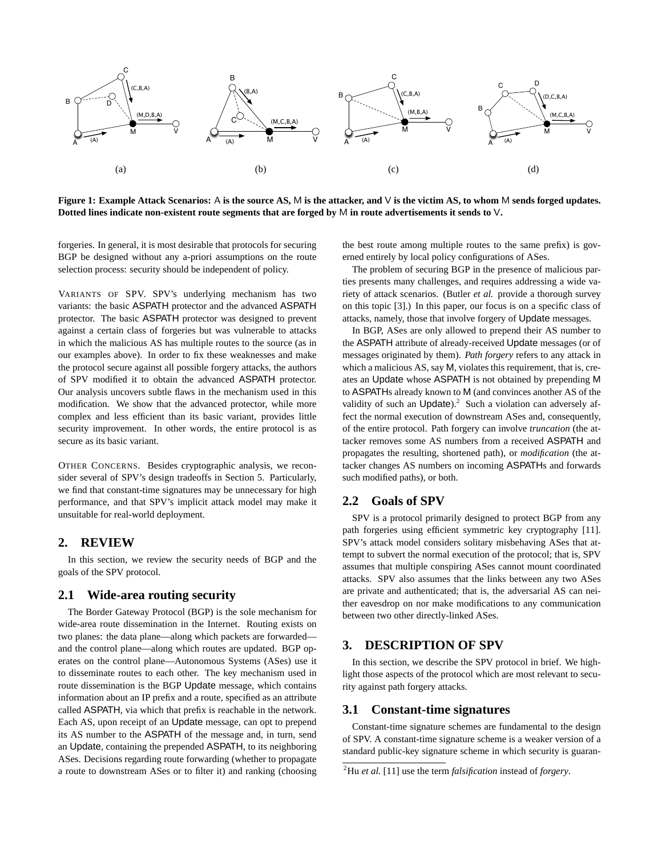

Figure 1: Example Attack Scenarios: A is the source AS, M is the attacker, and ∨ is the victim AS, to whom M sends forged updates. Dotted lines indicate non-existent route segments that are forged by  $M$  in route advertisements it sends to  $V$ .

forgeries. In general, it is most desirable that protocols for securing BGP be designed without any a-priori assumptions on the route selection process: security should be independent of policy.

VARIANTS OF SPV. SPV's underlying mechanism has two variants: the basic ASPATH protector and the advanced ASPATH protector. The basic ASPATH protector was designed to prevent against a certain class of forgeries but was vulnerable to attacks in which the malicious AS has multiple routes to the source (as in our examples above). In order to fix these weaknesses and make the protocol secure against all possible forgery attacks, the authors of SPV modified it to obtain the advanced ASPATH protector. Our analysis uncovers subtle flaws in the mechanism used in this modification. We show that the advanced protector, while more complex and less efficient than its basic variant, provides little security improvement. In other words, the entire protocol is as secure as its basic variant.

OTHER CONCERNS. Besides cryptographic analysis, we reconsider several of SPV's design tradeoffs in Section 5. Particularly, we find that constant-time signatures may be unnecessary for high performance, and that SPV's implicit attack model may make it unsuitable for real-world deployment.

## **2. REVIEW**

In this section, we review the security needs of BGP and the goals of the SPV protocol.

### **2.1 Wide-area routing security**

The Border Gateway Protocol (BGP) is the sole mechanism for wide-area route dissemination in the Internet. Routing exists on two planes: the data plane—along which packets are forwarded and the control plane— along which routes are updated. BGP operates on the control plane— Autonomous Systems (ASes) use it to disseminate routes to each other. The key mechanism used in route dissemination is the BGP Update message, which contains information about an IP prefix and a route, specified as an attribute called ASPATH, via which that prefix is reachable in the network. Each AS, upon receipt of an Update message, can opt to prepend its AS number to the ASPATH of the message and, in turn, send an Update, containing the prepended ASPATH, to its neighboring ASes. Decisions regarding route forwarding (whether to propagate a route to downstream ASes or to filter it) and ranking (choosing

the best route among multiple routes to the same prefix) is governed entirely by local policy configurations of ASes.

The problem of securing BGP in the presence of malicious parties presents many challenges, and requires addressing a wide variety of attack scenarios. (Butler *et al.* provide a thorough survey on this topic [3].) In this paper, our focus is on a specific class of attacks, namely, those that involve forgery of Update messages.

In BGP, ASes are only allowed to prepend their AS number to the ASPATH attribute of already-received Update messages (or of messages originated by them). *Path forgery* refers to any attack in which a malicious AS, say M, violates this requirement, that is, creates an Update whose ASPATH is not obtained by prepending M to ASPATHs already known to M (and convinces another AS of the validity of such an  $Update)$ .<sup>2</sup> Such a violation can adversely affect the normal execution of downstream ASes and, consequently, of the entire protocol. Path forgery can involve *truncation* (the attacker removes some AS numbers from a received ASPATH and propagates the resulting, shortened path), or *modification* (the attacker changes AS numbers on incoming ASPATHs and forwards such modified paths), or both.

#### **2.2 Goals of SPV**

SPV is a protocol primarily designed to protect BGP from any path forgeries using efficient symmetric key cryptography [11]. SPV's attack model considers solitary misbehaving ASes that attempt to subvert the normal execution of the protocol; that is, SPV assumes that multiple conspiring ASes cannot mount coordinated attacks. SPV also assumes that the links between any two ASes are private and authenticated; that is, the adversarial AS can neither eavesdrop on nor make modifications to any communication between two other directly-linked ASes.

## **3. DESCRIPTION OF SPV**

In this section, we describe the SPV protocol in brief. We highlight those aspects of the protocol which are most relevant to security against path forgery attacks.

#### **3.1 Constant-time signatures**

Constant-time signature schemes are fundamental to the design of SPV. A constant-time signature scheme is a weaker version of a standard public-key signature scheme in which security is guaran-

<sup>2</sup>Hu *et al.* [11] use the term *falsification* instead of *forgery*.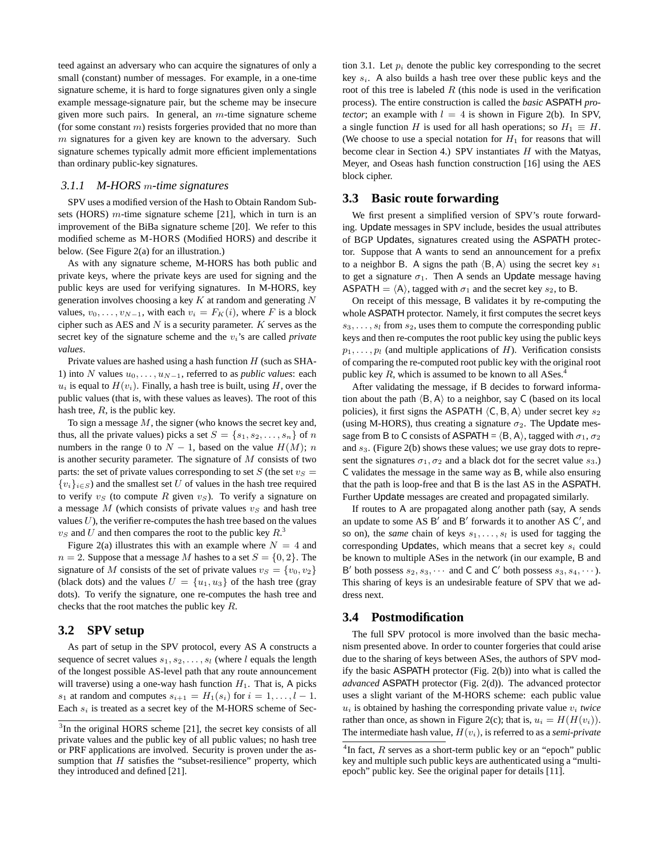teed against an adversary who can acquire the signatures of only a small (constant) number of messages. For example, in a one-time signature scheme, it is hard to forge signatures given only a single example message-signature pair, but the scheme may be insecure given more such pairs. In general, an  $m$ -time signature scheme (for some constant  $m$ ) resists forgeries provided that no more than  $m$  signatures for a given key are known to the adversary. Such signature schemes typically admit more efficient implementations than ordinary public-key signatures.

#### *3.1.1 M-HORS* m*-time signatures*

SPV uses a modified version of the Hash to Obtain Random Subsets (HORS)  $m$ -time signature scheme [21], which in turn is an improvement of the BiBa signature scheme [20]. We refer to this modified scheme as M-HORS (Modified HORS) and describe it below. (See Figure 2(a) for an illustration.)

As with any signature scheme, M-HORS has both public and private keys, where the private keys are used for signing and the public keys are used for verifying signatures. In M-HORS, key generation involves choosing a key  $K$  at random and generating  $N$ values,  $v_0, \ldots, v_{N-1}$ , with each  $v_i = F_K(i)$ , where F is a block cipher such as AES and  $N$  is a security parameter.  $K$  serves as the secret key of the signature scheme and the  $v_i$ 's are called *private values*.

Private values are hashed using a hash function  $H$  (such as SHA-1) into N values  $u_0, \ldots, u_{N-1}$ , referred to as *public values*: each  $u_i$  is equal to  $H(v_i)$ . Finally, a hash tree is built, using H, over the public values (that is, with these values as leaves). The root of this hash tree,  $R$ , is the public key.

To sign a message  $M$ , the signer (who knows the secret key and, thus, all the private values) picks a set  $S = \{s_1, s_2, \ldots, s_n\}$  of n numbers in the range 0 to  $N-1$ , based on the value  $H(M)$ ; n is another security parameter. The signature of  $M$  consists of two parts: the set of private values corresponding to set S (the set  $v<sub>S</sub>$  =  ${v_i}_{i \in S}$ ) and the smallest set U of values in the hash tree required to verify  $v_S$  (to compute R given  $v_S$ ). To verify a signature on a message  $M$  (which consists of private values  $v_S$  and hash tree values  $U$ ), the verifier re-computes the hash tree based on the values  $v_S$  and U and then compares the root to the public key  $R<sup>3</sup>$ .

Figure 2(a) illustrates this with an example where  $N = 4$  and  $n = 2$ . Suppose that a message M hashes to a set  $S = \{0, 2\}$ . The signature of M consists of the set of private values  $v_S = \{v_0, v_2\}$ (black dots) and the values  $U = \{u_1, u_3\}$  of the hash tree (gray dots). To verify the signature, one re-computes the hash tree and checks that the root matches the public key R.

# **3.2 SPV setup**

As part of setup in the SPV protocol, every AS A constructs a sequence of secret values  $s_1, s_2, \ldots, s_l$  (where *l* equals the length of the longest possible AS-level path that any route announcement will traverse) using a one-way hash function  $H_1$ . That is, A picks s<sub>1</sub> at random and computes  $s_{i+1} = H_1(s_i)$  for  $i = 1, \ldots, l-1$ . Each  $s_i$  is treated as a secret key of the M-HORS scheme of Section 3.1. Let  $p_i$  denote the public key corresponding to the secret key  $s_i$ . A also builds a hash tree over these public keys and the root of this tree is labeled  $R$  (this node is used in the verification process). The entire construction is called the *basic* ASPATH *protector*; an example with  $l = 4$  is shown in Figure 2(b). In SPV, a single function H is used for all hash operations; so  $H_1 \equiv H$ . (We choose to use a special notation for  $H_1$  for reasons that will become clear in Section 4.) SPV instantiates  $H$  with the Matyas, Meyer, and Oseas hash function construction [16] using the AES block cipher.

## **3.3 Basic route forwarding**

We first present a simplified version of SPV's route forwarding. Update messages in SPV include, besides the usual attributes of BGP Updates, signatures created using the ASPATH protector. Suppose that A wants to send an announcement for a prefix to a neighbor B. A signs the path  $\langle B, A \rangle$  using the secret key  $s_1$ to get a signature  $\sigma_1$ . Then A sends an Update message having ASPATH =  $\langle A \rangle$ , tagged with  $\sigma_1$  and the secret key  $s_2$ , to B.

On receipt of this message, B validates it by re-computing the whole ASPATH protector. Namely, it first computes the secret keys  $s_3, \ldots, s_l$  from  $s_2$ , uses them to compute the corresponding public keys and then re-computes the root public key using the public keys  $p_1, \ldots, p_l$  (and multiple applications of H). Verification consists of comparing the re-computed root public key with the original root public key  $R$ , which is assumed to be known to all  $A$ Ses.<sup>4</sup>

After validating the message, if B decides to forward information about the path  $\langle B, A \rangle$  to a neighbor, say C (based on its local policies), it first signs the ASPATH  $\langle C, B, A \rangle$  under secret key s<sub>2</sub> (using M-HORS), thus creating a signature  $\sigma_2$ . The Update message from B to C consists of ASPATH =  $\langle B, A \rangle$ , tagged with  $\sigma_1, \sigma_2$ and  $s_3$ . (Figure 2(b) shows these values; we use gray dots to represent the signatures  $\sigma_1, \sigma_2$  and a black dot for the secret value  $s_3$ .) C validates the message in the same way as B, while also ensuring that the path is loop-free and that B is the last AS in the ASPATH. Further Update messages are created and propagated similarly.

If routes to A are propagated along another path (say, A sends an update to some AS  $B'$  and  $B'$  forwards it to another AS  $C'$ , and so on), the *same* chain of keys  $s_1, \ldots, s_l$  is used for tagging the corresponding Updates, which means that a secret key  $s_i$  could be known to multiple ASes in the network (in our example, B and B' both possess  $s_2, s_3, \cdots$  and C and C' both possess  $s_3, s_4, \cdots$ ). This sharing of keys is an undesirable feature of SPV that we address next.

## **3.4 Postmodification**

The full SPV protocol is more involved than the basic mechanism presented above. In order to counter forgeries that could arise due to the sharing of keys between ASes, the authors of SPV modify the basic ASPATH protector (Fig. 2(b)) into what is called the *advanced* ASPATH protector (Fig. 2(d)). The advanced protector uses a slight variant of the M-HORS scheme: each public value  $u_i$  is obtained by hashing the corresponding private value  $v_i$  *twice* rather than once, as shown in Figure 2(c); that is,  $u_i = H(H(v_i)).$ The intermediate hash value, H(vi), is referred to as a *semi-private*

<sup>&</sup>lt;sup>3</sup>In the original HORS scheme [21], the secret key consists of all private values and the public key of all public values; no hash tree or PRF applications are involved. Security is proven under the assumption that  $H$  satisfies the "subset-resilience" property, which they introduced and defined [21].

 ${}^{4}$ In fact,  $R$  serves as a short-term public key or an "epoch" public key and multiple such public keys are authenticated using a "multiepoch" public key. See the original paper for details [11].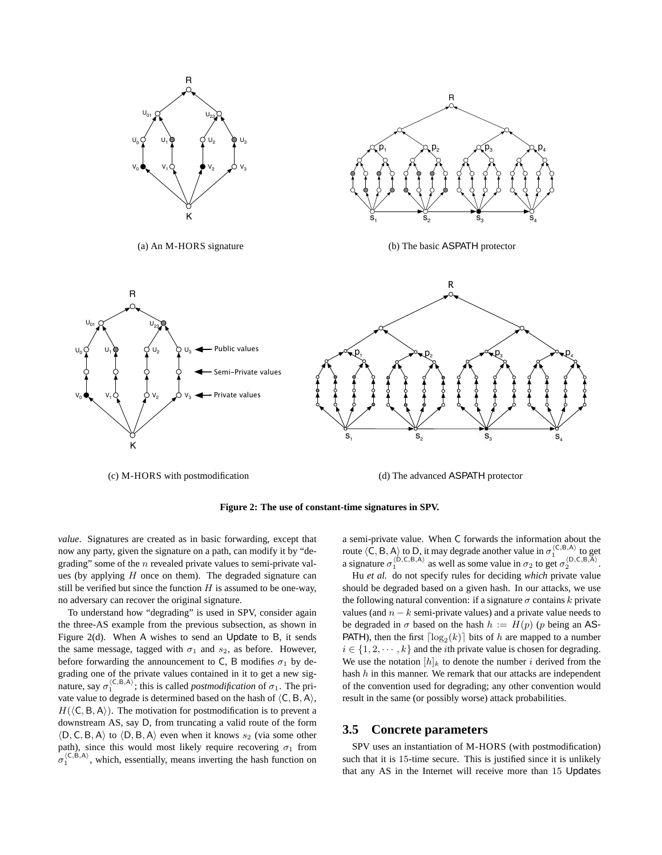

**Figure 2: The use of constant-time signatures in SPV.**

*value*. Signatures are created as in basic forwarding, except that now any party, given the signature on a path, can modify it by "degrading" some of the  $n$  revealed private values to semi-private values (by applying  $H$  once on them). The degraded signature can still be verified but since the function  $H$  is assumed to be one-way, no adversary can recover the original signature.

To understand how "degrading" is used in SPV, consider again the three-AS example from the previous subsection, as shown in Figure 2(d). When A wishes to send an Update to B, it sends the same message, tagged with  $\sigma_1$  and  $s_2$ , as before. However, before forwarding the announcement to C, B modifies  $\sigma_1$  by degrading one of the private values contained in it to get a new signature, say  $\sigma_1^{\langle C,B,A\rangle}$ ; this is called *postmodification* of  $\sigma_1$ . The private value to degrade is determined based on the hash of  $\langle C, B, A \rangle$ ,  $H(\langle \mathsf{C}, \mathsf{B}, \mathsf{A} \rangle)$ . The motivation for postmodification is to prevent a downstream AS, say D, from truncating a valid route of the form  $\langle D, C, B, A \rangle$  to  $\langle D, B, A \rangle$  even when it knows  $s_2$  (via some other path), since this would most likely require recovering  $\sigma_1$  from  $\sigma_1^{\langle C,B,A\rangle}$ , which, essentially, means inverting the hash function on

a semi-private value. When C forwards the information about the route  $\langle \hat{C}, B, A \rangle$  to D, it may degrade another value in  $\sigma_1^{\langle C, B, A \rangle}$  to get a signature  $\sigma_1^{\langle b, C, B, A \rangle}$  as well as some value in  $\sigma_2$  to get  $\sigma_2^{\langle D, C, B, A \rangle}$ .

Hu *et al.* do not specify rules for deciding *which* private value should be degraded based on a given hash. In our attacks, we use the following natural convention: if a signature  $\sigma$  contains k private values (and  $n - k$  semi-private values) and a private value needs to be degraded in  $\sigma$  based on the hash  $h := H(p)$  (p being an AS-**PATH**), then the first  $\lceil \log_2(k) \rceil$  bits of h are mapped to a number  $i \in \{1, 2, \dots, k\}$  and the *i*th private value is chosen for degrading. We use the notation  $[h]_k$  to denote the number i derived from the hash  $h$  in this manner. We remark that our attacks are independent of the convention used for degrading; any other convention would result in the same (or possibly worse) attack probabilities.

## **3.5 Concrete parameters**

SPV uses an instantiation of M-HORS (with postmodification) such that it is 15-time secure. This is justified since it is unlikely that any AS in the Internet will receive more than 15 Updates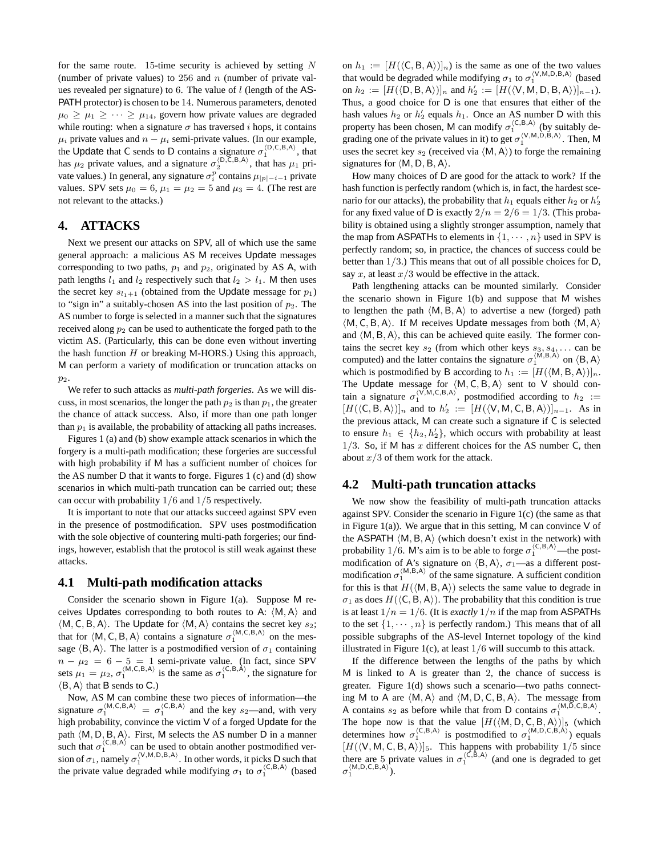for the same route. 15-time security is achieved by setting  $N$ (number of private values) to  $256$  and  $n$  (number of private values revealed per signature) to 6. The value of  $l$  (length of the AS-PATH protector) is chosen to be 14. Numerous parameters, denoted  $\mu_0 \geq \mu_1 \geq \cdots \geq \mu_{14}$ , govern how private values are degraded while routing: when a signature  $\sigma$  has traversed *i* hops, it contains  $\mu_i$  private values and  $n - \mu_i$  semi-private values. (In our example, the Update that C sends to D contains a signature  $\sigma_1^{\langle D,C,B,A\rangle}$ , that has  $\mu_2$  private values, and a signature  $\sigma_2^{\langle \text{D}, \text{C}, \text{B}, \text{A}\rangle}$ , that has  $\mu_1$  private values.) In general, any signature  $\sigma_i^p$  contains  $\mu_{|p|-i-1}$  private values. SPV sets  $\mu_0 = 6$ ,  $\mu_1 = \mu_2 = 5$  and  $\mu_3 = 4$ . (The rest are not relevant to the attacks.)

## **4. ATTACKS**

Next we present our attacks on SPV, all of which use the same general approach: a malicious AS M receives Update messages corresponding to two paths,  $p_1$  and  $p_2$ , originated by AS A, with path lengths  $l_1$  and  $l_2$  respectively such that  $l_2 > l_1$ . M then uses the secret key  $s_{l_1+1}$  (obtained from the Update message for  $p_1$ ) to "sign in" a suitably-chosen AS into the last position of  $p_2$ . The AS number to forge is selected in a manner such that the signatures received along  $p_2$  can be used to authenticate the forged path to the victim AS. (Particularly, this can be done even without inverting the hash function  $H$  or breaking M-HORS.) Using this approach, M can perform a variety of modification or truncation attacks on p2.

We refer to such attacks as *multi-path forgeries*. As we will discuss, in most scenarios, the longer the path  $p_2$  is than  $p_1$ , the greater the chance of attack success. Also, if more than one path longer than  $p_1$  is available, the probability of attacking all paths increases.

Figures 1 (a) and (b) show example attack scenarios in which the forgery is a multi-path modification; these forgeries are successful with high probability if M has a sufficient number of choices for the AS number D that it wants to forge. Figures 1 (c) and (d) show scenarios in which multi-path truncation can be carried out; these can occur with probability 1/6 and 1/5 respectively.

It is important to note that our attacks succeed against SPV even in the presence of postmodification. SPV uses postmodification with the sole objective of countering multi-path forgeries; our findings, however, establish that the protocol is still weak against these attacks.

#### **4.1 Multi-path modification attacks**

Consider the scenario shown in Figure 1(a). Suppose M receives Updates corresponding to both routes to A:  $\langle M, A \rangle$  and  $\langle M, C, B, A \rangle$ . The Update for  $\langle M, A \rangle$  contains the secret key s<sub>2</sub>; that for  $\langle M, C, B, A \rangle$  contains a signature  $\sigma_1^{\langle M, C, B, A \rangle}$  on the message  $\langle B, A \rangle$ . The latter is a postmodified version of  $\sigma_1$  containing  $n - \mu_2 = 6 - 5 = 1$  semi-private value. (In fact, since SPV sets  $\mu_1 = \mu_2$ ,  $\sigma_1^{\langle M, C, B, A \rangle}$  is the same as  $\sigma_1^{\langle C, B, A \rangle}$ , the signature for  $\langle B, A \rangle$  that B sends to C.)

Now, AS M can combine these two pieces of information— the signature  $\sigma_1^{(M,C,B,A)} = \sigma_1^{(C,B,A)}$  and the key s<sub>2</sub>—and, with very high probability, convince the victim V of a forged Update for the path  $\langle M, D, B, A \rangle$ . First, M selects the AS number D in a manner such that  $\sigma_1^{\langle C, \dot{B}, A \rangle}$  can be used to obtain another postmodified version of  $\sigma_1$ , namely  $\sigma_1^{\langle V,M,D,B,A\rangle}$ . In other words, it picks D such that the private value degraded while modifying  $\sigma_1$  to  $\sigma_1^{\langle C,B,A\rangle}$  (based

on  $h_1 := [H(\langle \mathsf{C}, \mathsf{B}, \mathsf{A} \rangle)]_n$  is the same as one of the two values that would be degraded while modifying  $\sigma_1$  to  $\sigma_1^{\langle V,M,D,B,A\rangle}$  (based on  $h_2 := [H(\langle \mathsf{D}, \mathsf{B}, \mathsf{A} \rangle)]_n$  and  $h'_2 := [H(\langle \mathsf{V}, \mathsf{M}, \mathsf{D}, \mathsf{B}, \mathsf{A} \rangle)]_{n-1}$ . Thus, a good choice for D is one that ensures that either of the hash values  $h_2$  or  $h'_2$  equals  $h_1$ . Once an AS number D with this property has been chosen, M can modify  $\sigma_1^{(C,B,A)}$  (by suitably degrading one of the private values in it) to get  $\sigma_1^{\langle V,M,\dot{D},\dot{B},A\rangle}$ . Then, M uses the secret key  $s_2$  (received via  $\langle M, A \rangle$ ) to forge the remaining signatures for  $\langle M, D, B, A \rangle$ .

How many choices of D are good for the attack to work? If the hash function is perfectly random (which is, in fact, the hardest scenario for our attacks), the probability that  $h_1$  equals either  $h_2$  or  $h'_2$ for any fixed value of D is exactly  $2/n = 2/6 = 1/3$ . (This probability is obtained using a slightly stronger assumption, namely that the map from ASPATHs to elements in  $\{1, \dots, n\}$  used in SPV is perfectly random; so, in practice, the chances of success could be better than  $1/3$ .) This means that out of all possible choices for  $D$ , say x, at least  $x/3$  would be effective in the attack.

Path lengthening attacks can be mounted similarly. Consider the scenario shown in Figure 1(b) and suppose that M wishes to lengthen the path  $\langle M, B, A \rangle$  to advertise a new (forged) path  $\langle M, C, B, A \rangle$ . If M receives Update messages from both  $\langle M, A \rangle$ and  $\langle M, B, A \rangle$ , this can be achieved quite easily. The former contains the secret key  $s_2$  (from which other keys  $s_3, s_4, \ldots$  can be computed) and the latter contains the signature  $\sigma_1^{\langle \tilde{M}, B, \tilde{A} \rangle}$  on  $\langle B, A \rangle$ which is postmodified by B according to  $h_1 := [H(\langle M, B, A \rangle)]_n$ . The Update message for  $\langle M, C, B, A \rangle$  sent to V should contain a signature  $\sigma_1^{\langle V, M, C, B, A \rangle}$ , postmodified according to  $h_2 :=$  $[H(\langle \mathsf{C}, \mathsf{B}, \mathsf{A} \rangle)]_n$  and to  $h'_2 := [H(\langle \mathsf{V}, \mathsf{M}, \mathsf{C}, \mathsf{B}, \mathsf{A} \rangle)]_{n-1}$ . As in the previous attack, M can create such a signature if C is selected to ensure  $h_1 \in \{h_2, h_2'\}$ , which occurs with probability at least  $1/3$ . So, if M has x different choices for the AS number C, then about  $x/3$  of them work for the attack.

#### **4.2 Multi-path truncation attacks**

We now show the feasibility of multi-path truncation attacks against SPV. Consider the scenario in Figure 1(c) (the same as that in Figure 1(a)). We argue that in this setting, M can convince  $V$  of the ASPATH  $\langle M, B, A \rangle$  (which doesn't exist in the network) with probability 1/6. M's aim is to be able to forge  $\sigma_1^{\langle C,B,A\rangle}$ —the postmodification of A's signature on  $\langle B, A \rangle$ ,  $\sigma_1$ —as a different postmodification  $\sigma_1^{(M,B,A)}$  of the same signature. A sufficient condition for this is that  $H(\langle M, B, A \rangle)$  selects the same value to degrade in  $\sigma_1$  as does  $H(\langle \mathsf{C}, \mathsf{B}, \mathsf{A} \rangle)$ . The probability that this condition is true is at least  $1/n = 1/6$ . (It is *exactly*  $1/n$  if the map from ASPATHs to the set  $\{1, \dots, n\}$  is perfectly random.) This means that of all possible subgraphs of the AS-level Internet topology of the kind illustrated in Figure 1(c), at least  $1/6$  will succumb to this attack.

If the difference between the lengths of the paths by which M is linked to A is greater than 2, the chance of success is greater. Figure 1(d) shows such a scenario— two paths connecting M to A are  $\langle M, A \rangle$  and  $\langle M, D, C, B, A \rangle$ . The message from A contains  $s_2$  as before while that from D contains  $\sigma_1^{(M, \tilde{D}, C, B, A)}$ . The hope now is that the value  $[H(\langle M, D, C, B, A \rangle)]_5$  (which determines how  $\sigma_1^{\langle C,B,A\rangle}$  is postmodified to  $\sigma_1^{\langle M,D,C,B,A\rangle}$  equals  $[H(\langle V, M, C, B, A\rangle)]_5$ . This happens with probability  $1/5$  since there are 5 private values in  $\sigma_1^{\langle \vec{C}, \vec{B}, A \rangle}$  (and one is degraded to get  $\sigma_1^{\langle M,D,C,B,A\rangle}$ ).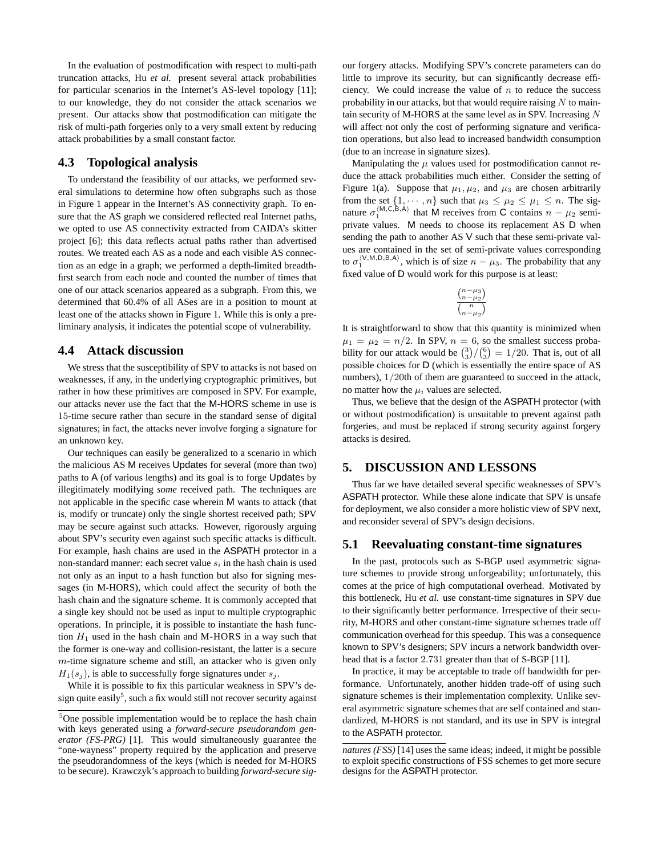In the evaluation of postmodification with respect to multi-path truncation attacks, Hu *et al.* present several attack probabilities for particular scenarios in the Internet's AS-level topology [11]; to our knowledge, they do not consider the attack scenarios we present. Our attacks show that postmodification can mitigate the risk of multi-path forgeries only to a very small extent by reducing attack probabilities by a small constant factor.

# **4.3 Topological analysis**

To understand the feasibility of our attacks, we performed several simulations to determine how often subgraphs such as those in Figure 1 appear in the Internet's AS connectivity graph. To ensure that the AS graph we considered reflected real Internet paths, we opted to use AS connectivity extracted from CAIDA's skitter project [6]; this data reflects actual paths rather than advertised routes. We treated each AS as a node and each visible AS connection as an edge in a graph; we performed a depth-limited breadthfirst search from each node and counted the number of times that one of our attack scenarios appeared as a subgraph. From this, we determined that 60.4% of all ASes are in a position to mount at least one of the attacks shown in Figure 1. While this is only a preliminary analysis, it indicates the potential scope of vulnerability.

# **4.4 Attack discussion**

We stress that the susceptibility of SPV to attacks is not based on weaknesses, if any, in the underlying cryptographic primitives, but rather in how these primitives are composed in SPV. For example, our attacks never use the fact that the M-HORS scheme in use is 15-time secure rather than secure in the standard sense of digital signatures; in fact, the attacks never involve forging a signature for an unknown key.

Our techniques can easily be generalized to a scenario in which the malicious AS M receives Updates for several (more than two) paths to A (of various lengths) and its goal is to forge Updates by illegitimately modifying *some* received path. The techniques are not applicable in the specific case wherein M wants to attack (that is, modify or truncate) only the single shortest received path; SPV may be secure against such attacks. However, rigorously arguing about SPV's security even against such specific attacks is difficult. For example, hash chains are used in the ASPATH protector in a non-standard manner: each secret value  $s_i$  in the hash chain is used not only as an input to a hash function but also for signing messages (in M-HORS), which could affect the security of both the hash chain and the signature scheme. It is commonly accepted that a single key should not be used as input to multiple cryptographic operations. In principle, it is possible to instantiate the hash function  $H_1$  used in the hash chain and M-HORS in a way such that the former is one-way and collision-resistant, the latter is a secure  $m$ -time signature scheme and still, an attacker who is given only  $H_1(s_i)$ , is able to successfully forge signatures under  $s_i$ .

While it is possible to fix this particular weakness in SPV's design quite easily<sup>5</sup>, such a fix would still not recover security against

our forgery attacks. Modifying SPV's concrete parameters can do little to improve its security, but can significantly decrease efficiency. We could increase the value of  $n$  to reduce the success probability in our attacks, but that would require raising  $N$  to maintain security of M-HORS at the same level as in SPV. Increasing  $N$ will affect not only the cost of performing signature and verification operations, but also lead to increased bandwidth consumption (due to an increase in signature sizes).

Manipulating the  $\mu$  values used for postmodification cannot reduce the attack probabilities much either. Consider the setting of Figure 1(a). Suppose that  $\mu_1, \mu_2$ , and  $\mu_3$  are chosen arbitrarily from the set  $\{1, \dots, n\}$  such that  $\mu_3 \leq \mu_2 \leq \mu_1 \leq n$ . The signature  $\sigma_1^{(M,C,B,\hat{A})}$  that M receives from C contains  $n - \mu_2$  semiprivate values. M needs to choose its replacement AS D when sending the path to another AS V such that these semi-private values are contained in the set of semi-private values corresponding to  $\sigma_1^{\langle V,M,D,B,A\rangle}$ , which is of size  $n - \mu_3$ . The probability that any fixed value of D would work for this purpose is at least:

$$
\frac{\binom{n-\mu_3}{n-\mu_2}}{\binom{n}{n-\mu_2}}
$$

It is straightforward to show that this quantity is minimized when  $\mu_1 = \mu_2 = n/2$ . In SPV,  $n = 6$ , so the smallest success probability for our attack would be  $\binom{3}{3}\binom{6}{3} = 1/20$ . That is, out of all possible choices for D (which is essentially the entire space of AS numbers),  $1/20$ th of them are guaranteed to succeed in the attack, no matter how the  $\mu_i$  values are selected.

Thus, we believe that the design of the ASPATH protector (with or without postmodification) is unsuitable to prevent against path forgeries, and must be replaced if strong security against forgery attacks is desired.

## **5. DISCUSSION AND LESSONS**

Thus far we have detailed several specific weaknesses of SPV's ASPATH protector. While these alone indicate that SPV is unsafe for deployment, we also consider a more holistic view of SPV next, and reconsider several of SPV's design decisions.

## **5.1 Reevaluating constant-time signatures**

In the past, protocols such as S-BGP used asymmetric signature schemes to provide strong unforgeability; unfortunately, this comes at the price of high computational overhead. Motivated by this bottleneck, Hu *et al.* use constant-time signatures in SPV due to their significantly better performance. Irrespective of their security, M-HORS and other constant-time signature schemes trade off communication overhead for this speedup. This was a consequence known to SPV's designers; SPV incurs a network bandwidth overhead that is a factor 2.731 greater than that of S-BGP [11].

In practice, it may be acceptable to trade off bandwidth for performance. Unfortunately, another hidden trade-off of using such signature schemes is their implementation complexity. Unlike several asymmetric signature schemes that are self contained and standardized, M-HORS is not standard, and its use in SPV is integral to the ASPATH protector.

<sup>5</sup>One possible implementation would be to replace the hash chain with keys generated using a *forward-secure pseudorandom generator (FS-PRG)* [1]. This would simultaneously guarantee the " one-wayness" property required by the application and preserve the pseudorandomness of the keys (which is needed for M-HORS to be secure). Krawczyk's approach to building *forward-secure sig-*

*natures (FSS)* [14] uses the same ideas; indeed, it might be possible to exploit specific constructions of FSS schemes to get more secure designs for the ASPATH protector.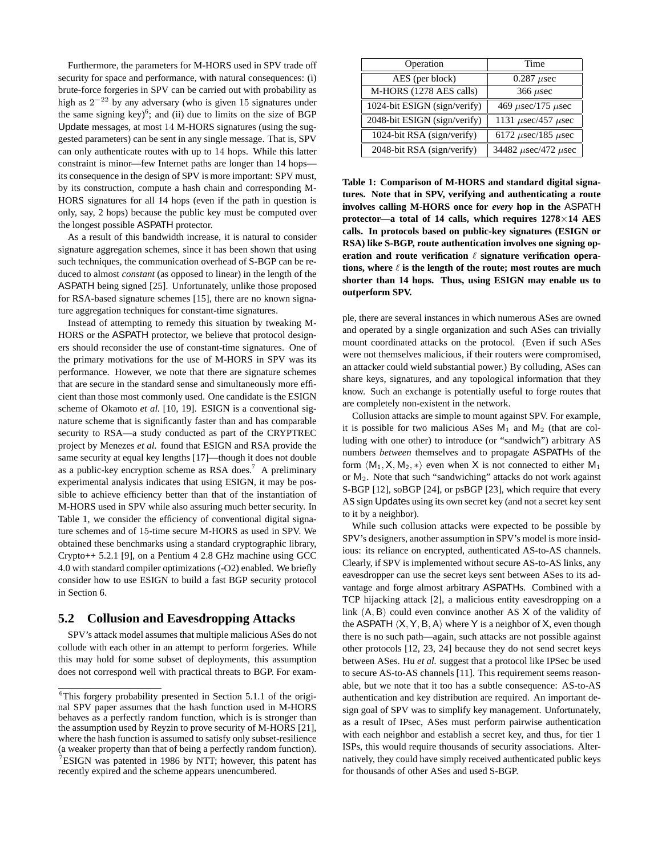Furthermore, the parameters for M-HORS used in SPV trade off security for space and performance, with natural consequences: (i) brute-force forgeries in SPV can be carried out with probability as high as  $2^{-22}$  by any adversary (who is given 15 signatures under the same signing key)<sup>6</sup>; and (ii) due to limits on the size of BGP Update messages, at most 14 M-HORS signatures (using the suggested parameters) can be sent in any single message. That is, SPV can only authenticate routes with up to 14 hops. While this latter constraint is minor— few Internet paths are longer than 14 hops its consequence in the design of SPV is more important: SPV must, by its construction, compute a hash chain and corresponding M-HORS signatures for all 14 hops (even if the path in question is only, say, 2 hops) because the public key must be computed over the longest possible ASPATH protector.

As a result of this bandwidth increase, it is natural to consider signature aggregation schemes, since it has been shown that using such techniques, the communication overhead of S-BGP can be reduced to almost *constant* (as opposed to linear) in the length of the ASPATH being signed [25]. Unfortunately, unlike those proposed for RSA-based signature schemes [15], there are no known signature aggregation techniques for constant-time signatures.

Instead of attempting to remedy this situation by tweaking M-HORS or the ASPATH protector, we believe that protocol designers should reconsider the use of constant-time signatures. One of the primary motivations for the use of M-HORS in SPV was its performance. However, we note that there are signature schemes that are secure in the standard sense and simultaneously more efficient than those most commonly used. One candidate is the ESIGN scheme of Okamoto *et al.* [10, 19]. ESIGN is a conventional signature scheme that is significantly faster than and has comparable security to RSA-a study conducted as part of the CRYPTREC project by Menezes *et al.* found that ESIGN and RSA provide the same security at equal key lengths [17]— though it does not double as a public-key encryption scheme as RSA does.<sup>7</sup> A preliminary experimental analysis indicates that using ESIGN, it may be possible to achieve efficiency better than that of the instantiation of M-HORS used in SPV while also assuring much better security. In Table 1, we consider the efficiency of conventional digital signature schemes and of 15-time secure M-HORS as used in SPV. We obtained these benchmarks using a standard cryptographic library, Crypto++ 5.2.1 [9], on a Pentium 4 2.8 GHz machine using GCC 4.0 with standard compiler optimizations (-O2) enabled. We briefly consider how to use ESIGN to build a fast BGP security protocol in Section 6.

## **5.2 Collusion and Eavesdropping Attacks**

SPV's attack model assumes that multiple malicious ASes do not collude with each other in an attempt to perform forgeries. While this may hold for some subset of deployments, this assumption does not correspond well with practical threats to BGP. For exam-

| Operation                    | Time                          |
|------------------------------|-------------------------------|
| AES (per block)              | $0.287$ $\mu$ sec             |
| M-HORS (1278 AES calls)      | $366 \mu$ sec                 |
| 1024-bit ESIGN (sign/verify) | 469 $\mu$ sec/175 $\mu$ sec   |
| 2048-bit ESIGN (sign/verify) | 1131 $\mu$ sec/457 $\mu$ sec  |
| 1024-bit RSA (sign/verify)   | 6172 $\mu$ sec/185 $\mu$ sec  |
| 2048-bit RSA (sign/verify)   | 34482 $\mu$ sec/472 $\mu$ sec |

**Table 1: Comparison of M-HORS and standard digital signatures. Note that in SPV, verifying and authenticating a route involves calling M-HORS once for** *every* **hop in the** ASPATH **protector—a total of 14 calls, which requires 1278**×**14 AES calls. In protocols based on public-key signatures (ESIGN or RSA) like S-BGP, route authentication involves one signing operation and route verification** ` **signature verification operations, where**  $\ell$  **is the length of the route; most routes are much shorter than 14 hops. Thus, using ESIGN may enable us to outperform SPV.**

ple, there are several instances in which numerous ASes are owned and operated by a single organization and such ASes can trivially mount coordinated attacks on the protocol. (Even if such ASes were not themselves malicious, if their routers were compromised, an attacker could wield substantial power.) By colluding, ASes can share keys, signatures, and any topological information that they know. Such an exchange is potentially useful to forge routes that are completely non-existent in the network.

Collusion attacks are simple to mount against SPV. For example, it is possible for two malicious ASes  $M_1$  and  $M_2$  (that are colluding with one other) to introduce (or "sandwich") arbitrary AS numbers *between* themselves and to propagate ASPATHs of the form  $\langle M_1, X, M_2, *\rangle$  even when X is not connected to either M<sub>1</sub> or M2. Note that such "sandwiching" attacks do not work against S-BGP [12], soBGP [24], or psBGP [23], which require that every AS sign Updates using its own secret key (and not a secret key sent to it by a neighbor).

While such collusion attacks were expected to be possible by SPV's designers, another assumption in SPV's model is more insidious: its reliance on encrypted, authenticated AS-to-AS channels. Clearly, if SPV is implemented without secure AS-to-AS links, any eavesdropper can use the secret keys sent between ASes to its advantage and forge almost arbitrary ASPATHs. Combined with a TCP hijacking attack [2], a malicious entity eavesdropping on a link  $(A, B)$  could even convince another AS  $X$  of the validity of the ASPATH  $(X, Y, B, A)$  where Y is a neighbor of X, even though there is no such path—again, such attacks are not possible against other protocols [12, 23, 24] because they do not send secret keys between ASes. Hu *et al.* suggest that a protocol like IPSec be used to secure AS-to-AS channels [11]. This requirement seems reasonable, but we note that it too has a subtle consequence: AS-to-AS authentication and key distribution are required. An important design goal of SPV was to simplify key management. Unfortunately, as a result of IPsec, ASes must perform pairwise authentication with each neighbor and establish a secret key, and thus, for tier 1 ISPs, this would require thousands of security associations. Alternatively, they could have simply received authenticated public keys for thousands of other ASes and used S-BGP.

 $6$ This forgery probability presented in Section 5.1.1 of the original SPV paper assumes that the hash function used in M-HORS behaves as a perfectly random function, which is is stronger than the assumption used by Reyzin to prove security of M-HORS [21], where the hash function is assumed to satisfy only subset-resilience (a weaker property than that of being a perfectly random function).  $7$ ESIGN was patented in 1986 by NTT; however, this patent has recently expired and the scheme appears unencumbered.